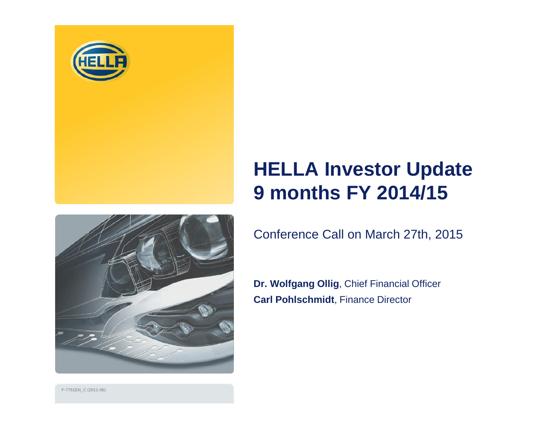

# **HELLA Investor Update 9 months FY 2014/15**



Conference Call on March 27th, 2015

**Dr. Wolfgang Ollig**, Chief Financial Officer **Carl Pohlschmidt**, Finance Director

F-7761EN\_C (2011-06)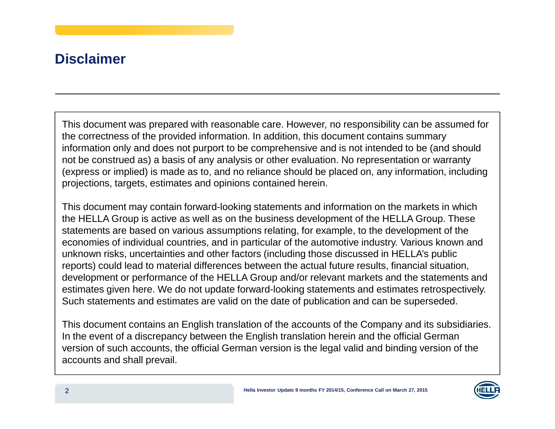#### **Disclaimer**

This document was prepared with reasonable care. However, no responsibility can be assumed for the correctness of the provided information. In addition, this document contains summary information only and does not purport to be comprehensive and is not intended to be (and should not be construed as) <sup>a</sup> basis of any analysis or other evaluation. No representation or warranty (express or implied) is made as to, and no reliance should be placed on, any information, including projections, targets, estimates and opinions contained herein.

This document may contain forward-looking statements and information on the markets in which the HELLA Group is active as well as on the business development of the HELLA Group. These statements are based on various assumptions relating, for example, to the development of the economies of individual countries, and in particular of the automotive industry. Various known and unknown risks, uncertainties and other factors (including those discussed in HELLA's public reports) could lead to material differences between the actual future results, financial situation, development or performance of the HELLA Group and/or relevant markets and the statements and estimates given here. We do not update forward-looking statements and estimates retrospectively. Such statements and estimates are valid on the date of publication and can be superseded.

This document contains an English translation of the accounts of the Company and its subsidiaries. In the event of <sup>a</sup> discrepancy between the English translation herein and the official German version of such accounts, the official German version is the legal valid and binding version of the accounts and shall prevail.

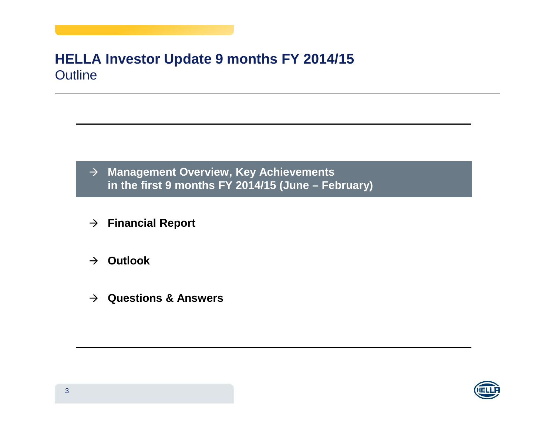#### **HELLA Investor Update 9 months FY 2014/15** Outline

- **Management Overview, Key Achievements in the first 9 months FY 2014/15 (June – February)**
- **Financial Report**
- **Outlook**
- **Questions & Answers**

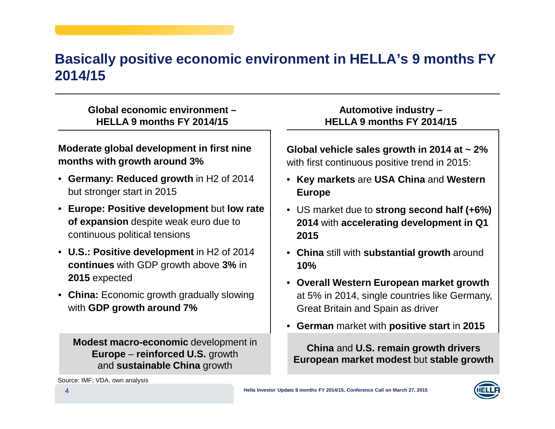#### **Basically positive economic environment in HELLA's 9 months FY 2014/15**

#### **Global economic environment – HELLA 9 months FY 2014/15**

#### **Moderate global development in first nine months with growth around 3%**

- **Germany: Reduced growth** in H2 of 2014 but stronger start in 2015
- **Europe: Positive development** but **low rate of expansion** despite weak euro due to continuous political tensions
- **U.S.: Positive development** in H2 of 2014 **continues** with GDP growth above **3%** in **2015** expected
- **China:** Economic growth gradually slowing with **GDP growth around 7%**

**Modest macro-economic** development in **Europe** – **reinforced U.S.** growth and **sustainable China** growth

#### **Automotive industry – HELLA 9 months FY 2014/15**

**Global vehicle sales growth in 2014 at <sup>~</sup> 2%** with first continuous positive trend in 2015:

- **Key markets** are **USA China** and **Western Europe**
- US market due to **strong second half (+6%) 2014** with **accelerating development in Q1 2015**
- **China** still with **substantial growth** around **10%**
- **Overall Western European market growth** at 5% in 2014, single countries like Germany, Great Britain and Spain as driver
- **German** market with **positive start** in **2015**

**China** and **U.S. remain growth drivers European market modest** but **stable growth**

Source: IMF; VDA, own analysis

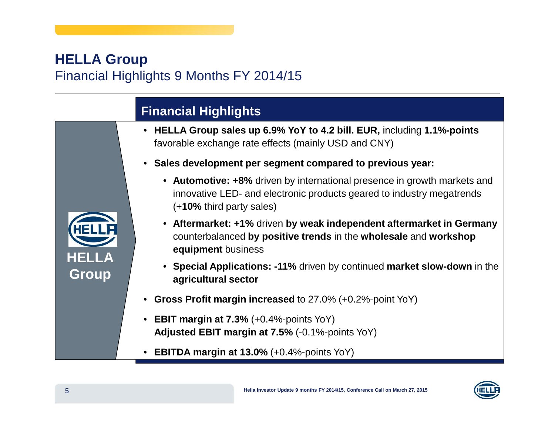#### **HELLA Group** Financial Highlights 9 Months FY 2014/15

## **Financial Highlights**

- **HELLA Group sales up 6.9% YoY to 4.2 bill. EUR,** including **1.1%-points** favorable exchange rate effects (mainly USD and CNY)
- **Sales development per segment compared to previous year:**
	- **Automotive: +8%** driven by international presence in growth markets and innovative LED- and electronic products geared to industry megatrends (+**10%** third party sales)
	- **Aftermarket: +1%** driven **by weak independent aftermarket in Germany** counterbalanced **by positive trends** in the **wholesale** and **workshop equipment** business
	- **Special Applications: -11%** driven by continued **market slow-down** in the **agricultural sector**
- $\bullet$ **Gross Profit margin increased** to 27.0% (+0.2%-point YoY)
- **EBIT margin at 7.3%** (+0.4%-points YoY) **Adjusted EBIT margin at 7.5%** (-0.1%-points YoY)
- **EBITDA margin at 13.0%** (+0.4%-points YoY)



**HELLA**

**Group**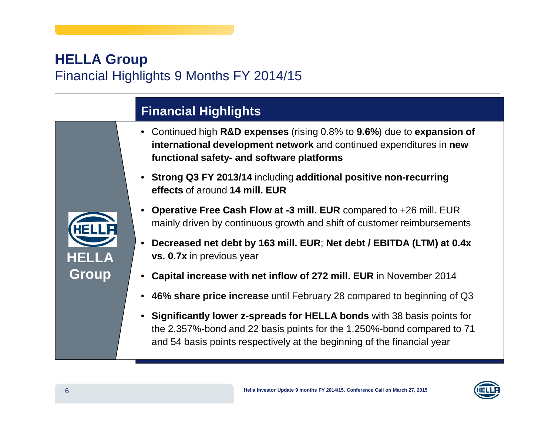#### **HELLA Group** Financial Highlights 9 Months FY 2014/15

## **Financial Highlights**

- Continued high **R&D expenses** (rising 0.8% to **9.6%**) due to **expansion of international development network** and continued expenditures in **new functional safety- and software platforms**
- **Strong Q3 FY 2013/14** including **additional positive non-recurring effects** of around **14 mill. EUR**



- • **Operative Free Cash Flow at -3 mill. EUR** compared to +26 mill. EUR mainly driven by continuous growth and shift of customer reimbursements
- **Decreased net debt by 163 mill. EUR**; **Net debt / EBITDA (LTM) at 0.4x vs. 0.7x** in previous year
- $\bullet$ **Capital increase with net inflow of 272 mill. EUR** in November 2014
- •**46% share price increase** until February 28 compared to beginning of Q3
- **Significantly lower z-spreads for HELLA bonds** with 38 basis points for the 2.357%-bond and 22 basis points for the 1.250%-bond compared to 71 and 54 basis points respectively at the beginning of the financial year

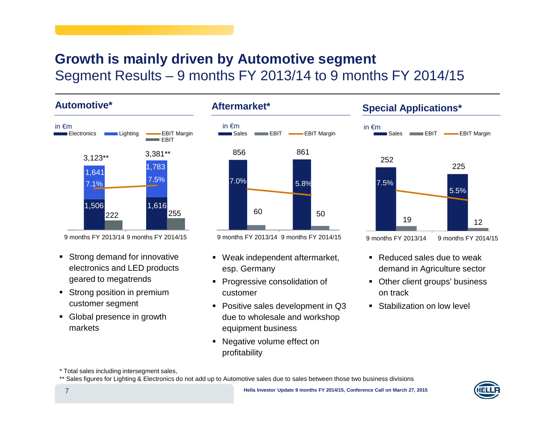#### **Growth is mainly driven by Automotive segment** Segment Results – 9 months FY 2013/14 to 9 months FY 2014/15

**Automotive\***



9 months FY 2013/14 9 months FY 2014/15

- Strong demand for innovative electronics and LED products geared to megatrends
- **-** Strong position in premium customer segment
- Global presence in growth markets



9 months FY 2013/14 9 months FY 2014/15

- Weak independent aftermarket, esp. Germany
- Progressive consolidation of customer
- Positive sales development in Q3 due to wholesale and workshop equipment business
- Negative volume effect on profitability

#### **Special Applications\***



- Reduced sales due to weak demand in Agriculture sector
- Other client groups' business on track
- Stabilization on low level

\* Total sales including intersegment sales,

<sup>\*\*</sup> Sales figures for Lighting & Electronics do not add up to Automotive sales due to sales between those two business divisions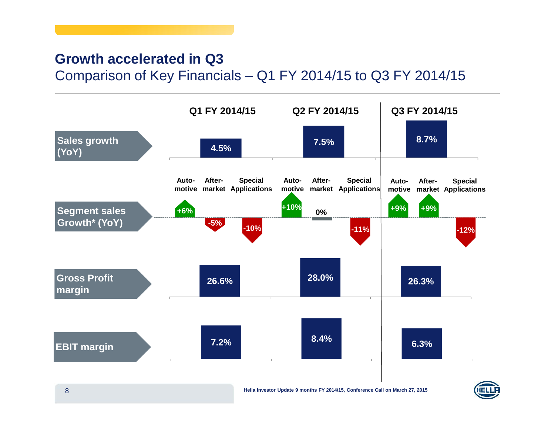#### **Growth accelerated in Q3** Comparison of Key Financials – Q1 FY 2014/15 to Q3 FY 2014/15

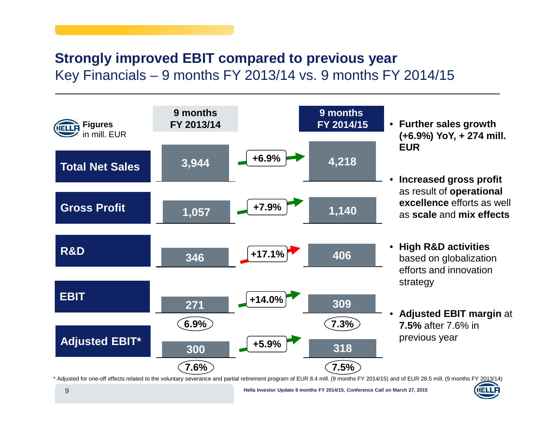#### **Strongly improved EBIT compared to previous year** Key Financials – 9 months FY 2013/14 vs. 9 months FY 2014/15



\* Adjusted for one-off effects related to the voluntary severance and partial retirement program of EUR 8.4 mill. (9 months FY 2014/15) and of EUR 28.5 mill. (9 months FY 2013/14)

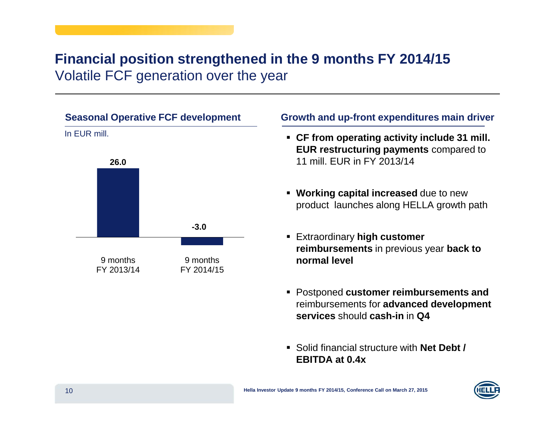#### **Financial position strengthened in the 9 months FY 2014/15** Volatile FCF generation over the year



#### **Growth and up-front expenditures main driver**

- **CF from operating activity include 31 mill. EUR restructuring payments** compared to 11 mill. EUR in FY 2013/14
- **Working capital increased** due to new product launches along HELLA growth path
- Extraordinary **high customer reimbursements** in previous year **back to normal level**
- Postponed **customer reimbursements and** reimbursements for **advanced development services** should **cash-in** in **Q4**
- Solid financial structure with **Net Debt / EBITDA at 0.4x**

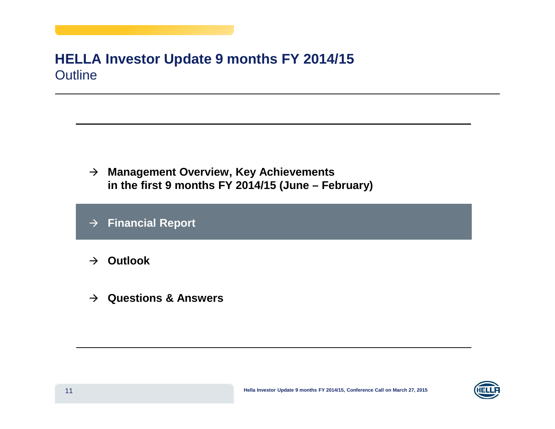#### **HELLA Investor Update 9 months FY 2014/15** Outline

- **Management Overview, Key Achievements in the first 9 months FY 2014/15 (June – February)**
- $\rightarrow$ **Financial Report**
- **Outlook**
- **Questions & Answers**

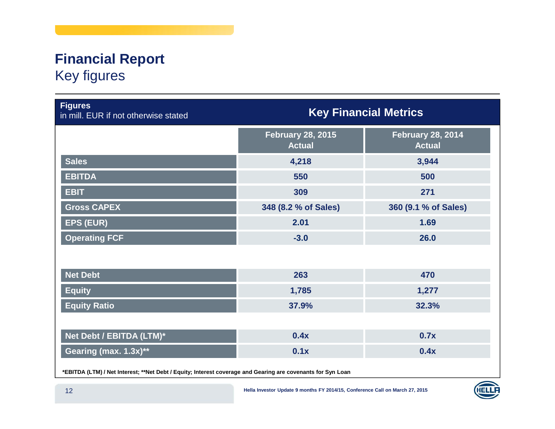## **Financial Report** Key figures

| <b>Figures</b><br>in mill. EUR if not otherwise stated | <b>Key Financial Metrics</b>              |                                           |  |  |
|--------------------------------------------------------|-------------------------------------------|-------------------------------------------|--|--|
|                                                        | <b>February 28, 2015</b><br><b>Actual</b> | <b>February 28, 2014</b><br><b>Actual</b> |  |  |
| <b>Sales</b>                                           | 4,218                                     | 3,944                                     |  |  |
| <b>EBITDA</b>                                          | 550                                       | 500                                       |  |  |
| <b>EBIT</b>                                            | 309                                       | 271                                       |  |  |
| <b>Gross CAPEX</b>                                     | 348 (8.2 % of Sales)                      | 360 (9.1 % of Sales)                      |  |  |
| <b>EPS (EUR)</b>                                       | 2.01                                      | 1.69                                      |  |  |
| <b>Operating FCF</b>                                   | $-3.0$                                    | 26.0                                      |  |  |
|                                                        |                                           |                                           |  |  |
| <b>Net Debt</b>                                        | 263                                       | 470                                       |  |  |
| <b>Equity</b>                                          | 1,785                                     | 1,277                                     |  |  |
| <b>Equity Ratio</b>                                    | 37.9%                                     | 32.3%                                     |  |  |
|                                                        |                                           |                                           |  |  |
| Net Debt / EBITDA (LTM)*                               | 0.4x                                      | 0.7x                                      |  |  |
| Gearing (max. 1.3x)**                                  | 0.1x                                      | 0.4x                                      |  |  |
|                                                        |                                           |                                           |  |  |

\*EBITDA (LTM) / Net Interest; \*\*Net Debt / Equity; Interest coverage and Gearing are covenants for Syn Loan

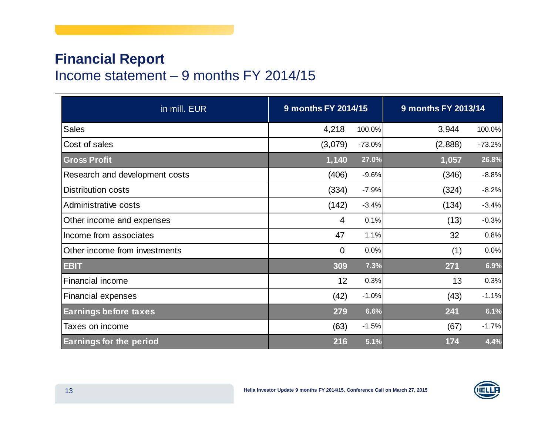#### **Financial Report** Income statement – 9 months FY 2014/15

| 9 months FY 2014/15<br>in mill. EUR |                |          | 9 months FY 2013/14 |          |
|-------------------------------------|----------------|----------|---------------------|----------|
| <b>Sales</b>                        | 4,218          | 100.0%   | 3,944               | 100.0%   |
| Cost of sales                       | (3,079)        | $-73.0%$ | (2,888)             | $-73.2%$ |
| <b>Gross Profit</b>                 | 1,140          | 27.0%    | 1,057               | 26.8%    |
| Research and development costs      | (406)          | $-9.6%$  | (346)               | $-8.8%$  |
| <b>Distribution costs</b>           | (334)          | $-7.9%$  | (324)               | $-8.2%$  |
| Administrative costs                | (142)          | $-3.4%$  | (134)               | $-3.4%$  |
| Other income and expenses           | $\overline{4}$ | 0.1%     | (13)                | $-0.3%$  |
| Income from associates              | 47             | 1.1%     | 32                  | 0.8%     |
| Other income from investments       | $\overline{0}$ | 0.0%     | (1)                 | 0.0%     |
| <b>EBIT</b>                         | 309            | 7.3%     | 271                 | 6.9%     |
| <b>Financial income</b>             | 12             | 0.3%     | 13                  | 0.3%     |
| <b>Financial expenses</b>           | (42)           | $-1.0%$  | (43)                | $-1.1%$  |
| <b>Earnings before taxes</b>        | 279            | 6.6%     | 241                 | 6.1%     |
| Taxes on income                     | (63)           | $-1.5%$  | (67)                | $-1.7%$  |
| <b>Earnings for the period</b>      | 216            | 5.1%     | 174                 | 4.4%     |

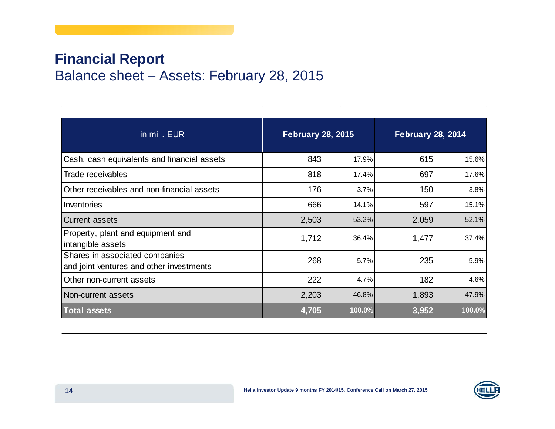#### **Financial Report** Balance sheet – Assets: February 28, 2015

| in mill. EUR                                                               | <b>February 28, 2015</b> |        | <b>February 28, 2014</b> |        |
|----------------------------------------------------------------------------|--------------------------|--------|--------------------------|--------|
| Cash, cash equivalents and financial assets                                | 843                      | 17.9%  | 615                      | 15.6%  |
| Trade receivables                                                          | 818                      | 17.4%  | 697                      | 17.6%  |
| Other receivables and non-financial assets                                 | 176                      | 3.7%   | 150                      | 3.8%   |
| Inventories                                                                | 666                      | 14.1%  | 597                      | 15.1%  |
| <b>Current assets</b>                                                      | 2,503                    | 53.2%  | 2,059                    | 52.1%  |
| Property, plant and equipment and<br>intangible assets                     | 1,712                    | 36.4%  | 1,477                    | 37.4%  |
| Shares in associated companies<br>and joint ventures and other investments | 268                      | 5.7%   | 235                      | 5.9%   |
| Other non-current assets                                                   | 222                      | 4.7%   | 182                      | 4.6%   |
| Non-current assets                                                         | 2,203                    | 46.8%  | 1,893                    | 47.9%  |
| <b>Total assets</b>                                                        | 4,705                    | 100.0% | 3,952                    | 100.0% |

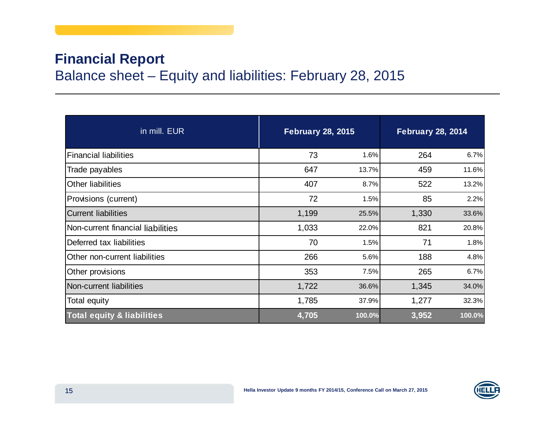#### **Financial Report** Balance sheet – Equity and liabilities: February 28, 2015

| in mill. EUR                          | <b>February 28, 2015</b> |        | <b>February 28, 2014</b> |        |
|---------------------------------------|--------------------------|--------|--------------------------|--------|
| <b>Financial liabilities</b>          | 73                       | 1.6%   | 264                      | 6.7%   |
| Trade payables                        | 647                      | 13.7%  | 459                      | 11.6%  |
| <b>Other liabilities</b>              | 407                      | 8.7%   | 522                      | 13.2%  |
| Provisions (current)                  | 72                       | 1.5%   | 85                       | 2.2%   |
| <b>Current liabilities</b>            | 1,199                    | 25.5%  | 1,330                    | 33.6%  |
| Non-current financial liabilities     | 1,033                    | 22.0%  | 821                      | 20.8%  |
| Deferred tax liabilities              | 70                       | 1.5%   | 71                       | 1.8%   |
| Other non-current liabilities         | 266                      | 5.6%   | 188                      | 4.8%   |
| Other provisions                      | 353                      | 7.5%   | 265                      | 6.7%   |
| Non-current liabilities               | 1,722                    | 36.6%  | 1,345                    | 34.0%  |
| Total equity                          | 1,785                    | 37.9%  | 1,277                    | 32.3%  |
| <b>Total equity &amp; liabilities</b> | 4,705                    | 100.0% | 3,952                    | 100.0% |

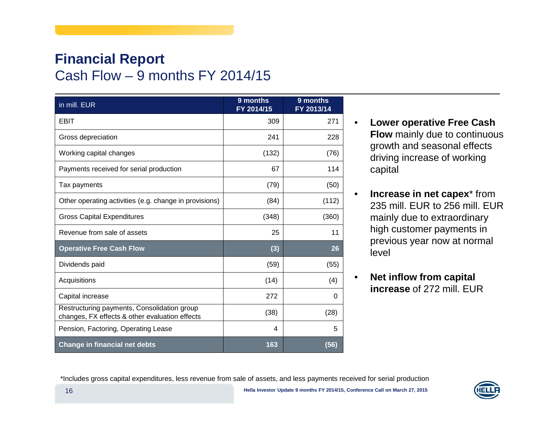#### **Financial Report** Cash Flow – 9 months FY 2014/15

| in mill. EUR                                                                                  | 9 months<br>FY 2014/15 | 9 months<br>FY 2013/14 |
|-----------------------------------------------------------------------------------------------|------------------------|------------------------|
| <b>EBIT</b>                                                                                   | 309                    | 271                    |
| Gross depreciation                                                                            | 241                    | 228                    |
| Working capital changes                                                                       | (132)                  | (76)                   |
| Payments received for serial production                                                       | 67                     | 114                    |
| Tax payments                                                                                  | (79)                   | (50)                   |
| Other operating activities (e.g. change in provisions)                                        | (84)                   | (112)                  |
| <b>Gross Capital Expenditures</b>                                                             | (348)                  | (360)                  |
| Revenue from sale of assets                                                                   | 25                     | 11                     |
| <b>Operative Free Cash Flow</b>                                                               | (3)                    | 26                     |
| Dividends paid                                                                                | (59)                   | (55)                   |
| Acquisitions                                                                                  | (14)                   | (4)                    |
| Capital increase                                                                              | 272                    | 0                      |
| Restructuring payments, Consolidation group<br>changes, FX effects & other evaluation effects | (38)                   | (28)                   |
| Pension, Factoring, Operating Lease                                                           | 4                      | 5                      |
| <b>Change in financial net debts</b>                                                          | 163                    | (56)                   |

- **Lower operative Free Cash Flow** mainly due to continuous growth and seasonal effects driving increase of working capital
- $\bullet$  **Increase in net capex**\* from 235 mill. EUR to 256 mill. EUR mainly due to extraordinary high customer payments in previous year now at normal level
- • **Net inflow from capital increase** of 272 mill. EUR

\*Includes gross capital expenditures, less revenue from sale of assets, and less payments received for serial production

•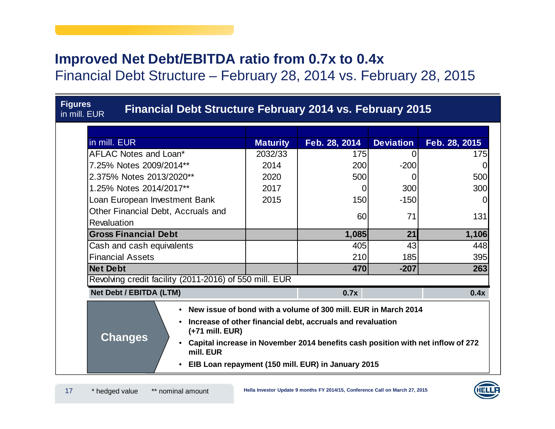#### **Improved Net Debt/EBITDA ratio from 0.7x to 0.4x**

Financial Debt Structure – February 28, 2014 vs. February 28, 2015

| <b>Figures</b><br><b>Financial Debt Structure February 2014 vs. February 2015</b><br>in mill. EUR                                                                                                                                                                                                                                                                |                 |               |                  |               |
|------------------------------------------------------------------------------------------------------------------------------------------------------------------------------------------------------------------------------------------------------------------------------------------------------------------------------------------------------------------|-----------------|---------------|------------------|---------------|
| in mill. EUR                                                                                                                                                                                                                                                                                                                                                     | <b>Maturity</b> | Feb. 28, 2014 | <b>Deviation</b> | Feb. 28, 2015 |
| AFLAC Notes and Loan*                                                                                                                                                                                                                                                                                                                                            | 2032/33         | 175           | $\Omega$         | 175           |
| 7.25% Notes 2009/2014**                                                                                                                                                                                                                                                                                                                                          | 2014            | 200           | $-200$           |               |
| 2.375% Notes 2013/2020**                                                                                                                                                                                                                                                                                                                                         | 2020            | 500           | 0                | 500           |
|                                                                                                                                                                                                                                                                                                                                                                  |                 |               |                  |               |
| 1.25% Notes 2014/2017**                                                                                                                                                                                                                                                                                                                                          | 2017            | $\Omega$      | 300              | 300           |
| Loan European Investment Bank                                                                                                                                                                                                                                                                                                                                    | 2015            | 150           | $-150$           |               |
| Other Financial Debt, Accruals and                                                                                                                                                                                                                                                                                                                               |                 | 60            | 71               | 131           |
| Revaluation                                                                                                                                                                                                                                                                                                                                                      |                 |               |                  |               |
| <b>Gross Financial Debt</b>                                                                                                                                                                                                                                                                                                                                      |                 | 1,085         | 21               | 1,106         |
| Cash and cash equivalents                                                                                                                                                                                                                                                                                                                                        |                 | 405           | 43               | 448           |
| <b>Financial Assets</b>                                                                                                                                                                                                                                                                                                                                          |                 | 210           | 185              | 395           |
| <b>Net Debt</b>                                                                                                                                                                                                                                                                                                                                                  |                 | 470           | $-207$           | 263           |
| Revolving credit facility (2011-2016) of 550 mill. EUR                                                                                                                                                                                                                                                                                                           |                 |               |                  |               |
| Net Debt / EBITDA (LTM)                                                                                                                                                                                                                                                                                                                                          |                 | 0.7x          |                  | 0.4x          |
| • New issue of bond with a volume of 300 mill. EUR in March 2014<br>Increase of other financial debt, accruals and revaluation<br>$\bullet$<br>(+71 mill. EUR)<br><b>Changes</b><br>Capital increase in November 2014 benefits cash position with net inflow of 272<br>$\bullet$<br>mill. EUR<br>EIB Loan repayment (150 mill. EUR) in January 2015<br>$\bullet$ |                 |               |                  |               |

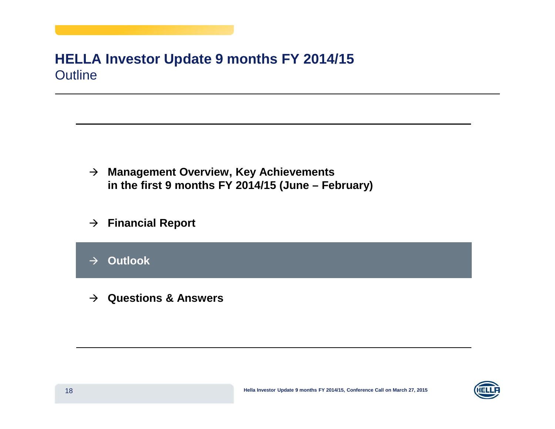#### **HELLA Investor Update 9 months FY 2014/15** Outline

- **Management Overview, Key Achievements in the first 9 months FY 2014/15 (June – February)**
- **Financial Report**
- $\rightarrow$ **Outlook**
- **Questions & Answers**

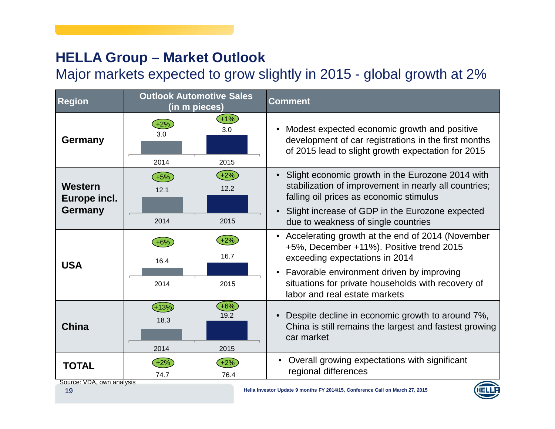## **HELLA Group – Market Outlook**

Major markets expected to grow slightly in 2015 - global growth at 2%

| <b>Region</b>                             | <b>Outlook Automotive Sales</b><br>(in m pieces) | <b>Comment</b>                                                                                                                                                                                                                                                                               |
|-------------------------------------------|--------------------------------------------------|----------------------------------------------------------------------------------------------------------------------------------------------------------------------------------------------------------------------------------------------------------------------------------------------|
| Germany                                   | $+1%$<br>3.0<br>3.0<br>2014<br>2015              | Modest expected economic growth and positive<br>$\bullet$<br>development of car registrations in the first months<br>of 2015 lead to slight growth expectation for 2015                                                                                                                      |
| Western<br>Europe incl.<br><b>Germany</b> | $+2%$<br>$(+5%)$<br>12.2<br>12.1<br>2014<br>2015 | Slight economic growth in the Eurozone 2014 with<br>$\bullet$<br>stabilization of improvement in nearly all countries;<br>falling oil prices as economic stimulus<br>Slight increase of GDP in the Eurozone expected<br>$\bullet$<br>due to weakness of single countries                     |
| <b>USA</b>                                | $+2%$<br>$+6%$<br>16.7<br>16.4<br>2014<br>2015   | Accelerating growth at the end of 2014 (November<br>$\bullet$<br>+5%, December +11%). Positive trend 2015<br>exceeding expectations in 2014<br>Favorable environment driven by improving<br>$\bullet$<br>situations for private households with recovery of<br>labor and real estate markets |
| <b>China</b>                              | $+13%$<br>$+6%$<br>19.2<br>18.3<br>2014<br>2015  | Despite decline in economic growth to around 7%,<br>$\bullet$<br>China is still remains the largest and fastest growing<br>car market                                                                                                                                                        |
| TOTAL                                     | $+2%$<br>+2%<br>76.4<br>74.7                     | Overall growing expectations with significant<br>regional differences                                                                                                                                                                                                                        |

Source: VDA, own analysis

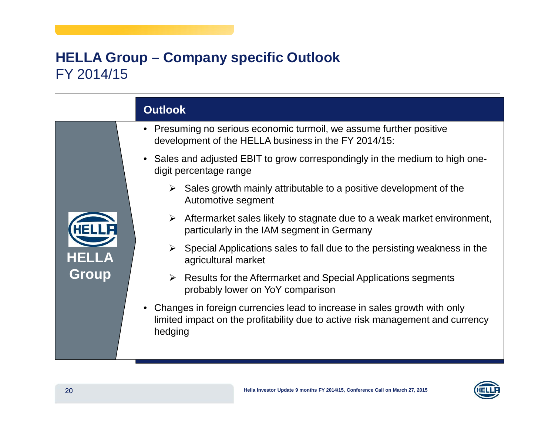#### **HELLA Group – Company specific Outlook** FY 2014/15

|                       | <b>Outlook</b>                                                                                                                                                        |
|-----------------------|-----------------------------------------------------------------------------------------------------------------------------------------------------------------------|
|                       | • Presuming no serious economic turmoil, we assume further positive<br>development of the HELLA business in the FY 2014/15:                                           |
|                       | • Sales and adjusted EBIT to grow correspondingly in the medium to high one-<br>digit percentage range                                                                |
|                       | $\triangleright$ Sales growth mainly attributable to a positive development of the<br>Automotive segment                                                              |
|                       | Aftermarket sales likely to stagnate due to a weak market environment,<br>≻<br>particularly in the IAM segment in Germany                                             |
| <b>HELLA</b><br>Group | $\triangleright$ Special Applications sales to fall due to the persisting weakness in the<br>agricultural market                                                      |
|                       | $\triangleright$ Results for the Aftermarket and Special Applications segments<br>probably lower on YoY comparison                                                    |
|                       | Changes in foreign currencies lead to increase in sales growth with only<br>limited impact on the profitability due to active risk management and currency<br>hedging |
|                       |                                                                                                                                                                       |

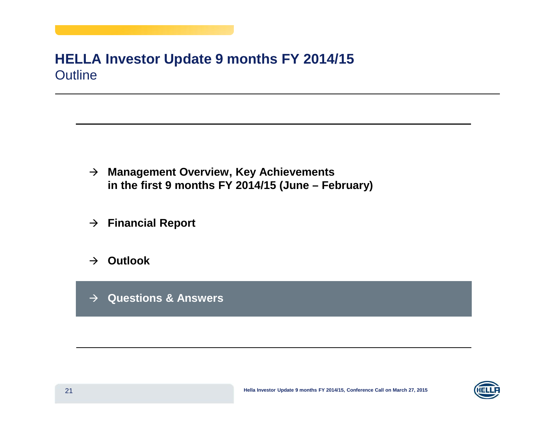#### **HELLA Investor Update 9 months FY 2014/15** Outline

- **Management Overview, Key Achievements in the first 9 months FY 2014/15 (June – February)**
- **Financial Report**
- **Outlook**
- **Questions & Answers**